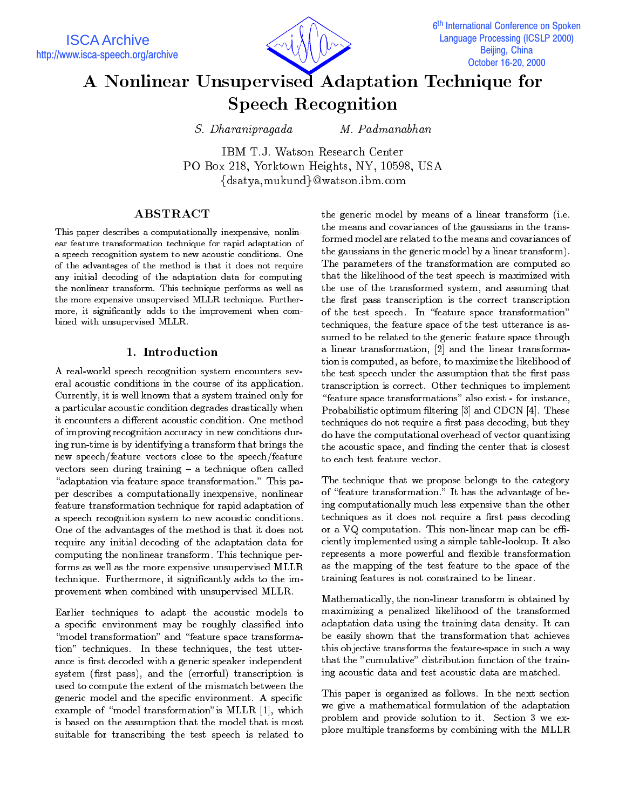

# A Nonlinear Unsupervised Adaptation Technique for Speech Recognition

S. Dharanipragada

M. Padmanabhan

IBM T.J. Watson Research Center PO Box 218, Yorktown Heights, NY, 10598, USA  $\{dsatya, mukund\}@watson.ibm.com$ 

# **ABSTRACT**

This paper describes a computationally inexpensive, nonlinear feature transformation technique for rapid adaptation of a speech recognition system to new acoustic conditions. One of the advantages of the method is that it does not require any initial decoding of the adaptation data for computing the nonlinear transform. This technique performs as well as the more expensive unsupervised MLLR technique. Furthermore, it signicantly adds to the improvement when combined with unsupervised MLLR.

# 1. Introduction

A real-world speech recognition system encounters several acoustic conditions in the course of its application. Currently, it is well known that a system trained only for a particular acoustic condition degrades drastically when it encounters a different acoustic condition. One method of improving recognition accuracy in new conditions during run-time is by identifying a transform that brings the new speech/feature vectors close to the speech/feature vectors seen during training - a technique often called "adaptation via feature space transformation." This paper describes a computationally inexpensive, nonlinear feature transformation technique for rapid adaptation of a speech recognition system to new acoustic conditions. One of the advantages of the method is that it does not require any initial decoding of the adaptation data for computing the nonlinear transform. This technique performs as well as the more expensive unsupervised MLLR technique. Furthermore, it signicantly adds to the improvement when combined with unsupervised MLLR.

Earlier techniques to adapt the acoustic models to a specific environment may be roughly classified into "model transformation" and "feature space transformation" techniques. In these techniques, the test utterance is first decoded with a generic speaker independent system (first pass), and the (errorful) transcription is used to compute the extent of the mismatch between the generic model and the specific environment. A specific example of "model transformation" is MLLR  $[1]$ , which is based on the assumption that the model that is most suitable for transcribing the test speech is related to the generic model by means of a linear transform (i.e. the means and covariances of the gaussians in the transformed model are related to the means and covariances of the gaussians in the generic model by a linear transform). The parameters of the transformation are computed so that the likelihood of the test speech is maximized with the use of the transformed system, and assuming that the first pass transcription is the correct transcription of the test speech. In "feature space transformation" techniques, the feature space of the test utterance is assumed to be related to the generic feature space through a linear transformation, [2] and the linear transformation is computed, as before, to maximize the likelihood of the test speech under the assumption that the first pass transcription is correct. Other techniques to implement \feature space transformations" also exist - for instance, Probabilistic optimum filtering [3] and CDCN [4]. These techniques do not require a first pass decoding, but they do have the computational overhead of vector quantizing the acoustic space, and finding the center that is closest

The technique that we propose belongs to the category of "feature transformation." It has the advantage of being computationally much less expensive than the other techniques as it does not require a first pass decoding or a VQ computation. This non-linear map can be efficiently implemented using a simple table-lookup. It also represents a more powerful and flexible transformation as the mapping of the test feature to the space of the training features is not constrained to be linear.

Mathematically, the non-linear transform is obtained by maximizing a penalized likelihood of the transformed adaptation data using the training data density. It can be easily shown that the transformation that achieves this objective transforms the feature-space in such a way that the "cumulative" distribution function of the training acoustic data and test acoustic data are matched.

This paper is organized as follows. In the next section we give a mathematical formulation of the adaptation problem and provide solution to it. Section 3 we explore multiple transforms by combining with the MLLR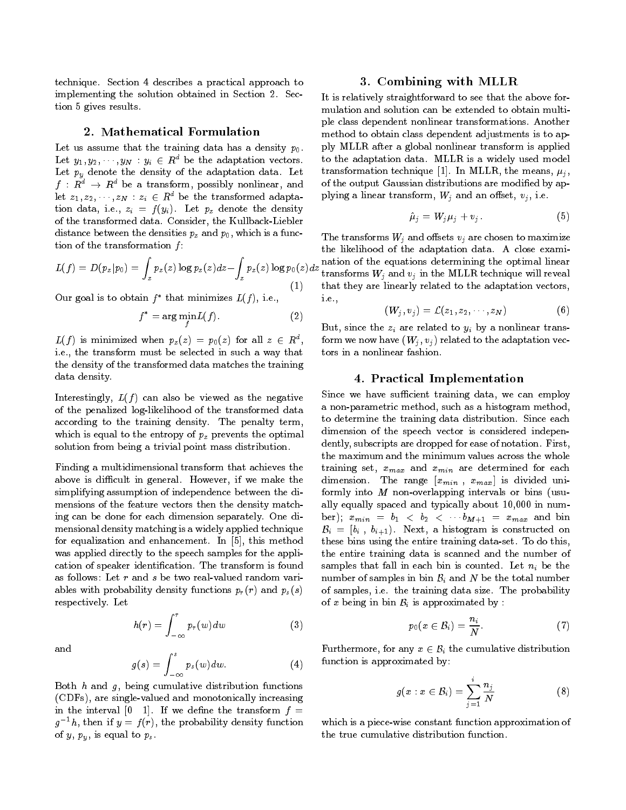technique. Section 4 describes a practical approach to implementing the solution obtained in Section 2. Section 5 gives results.

#### 2. Mathematical Formulation

Let us assume that the training data has a density  $p_0$ . Let  $y_1, y_2, \dots, y_N : y_i \in R^d$  be the adaptation vectors. Let  $p_y$  denote the density of the adaptation data. Let  $f\,:\,R^d\,\rightarrow\,R^d$  be a transform, possibly nonlinear, and let  $z_1, z_2, \dots, z_N : z_i \in R^d$  be the transformed adaptation data, i.e.,  $z_i = f(y_i)$ . Let  $p_z$  denote the density of the transformed data. Consider, the Kullback-Liebler distance between the densities  $p_z$  and  $p_0$ , which is a function of the transformation  $f$ :

$$
L(f) = D(p_z|p_0) = \int_z p_z(z) \log p_z(z) dz - \int_z p_z(z) \log p_0(z) dz
$$
\n(1)

Our goal is to obtain  $f^*$  that minimizes  $L(f)$ , i.e.,

$$
f^* = \arg\min_f L(f). \tag{2}
$$

 $L(f)$  is minimized when  $p_z(z) = p_0(z)$  for all  $z \in R^d$ , i.e., the transform must be selected in such a way that the density of the transformed data matches the training data density.

Interestingly,  $L(f)$  can also be viewed as the negative of the penalized log-likelihood of the transformed data according to the training density. The penalty term, which is equal to the entropy of  $p_z$  prevents the optimal solution from being a trivial point mass distribution.

Finding a multidimensional transform that achieves the above is difficult in general. However, if we make the simplifying assumption of independence between the dimensions of the feature vectors then the density matching can be done for each dimension separately. One dimensional density matching is a widely applied technique for equalization and enhancement. In [5], this method was applied directly to the speech samples for the application of speaker identication. The transform is found as follows: Let r and s be two real-valued random variables with probability density functions  $p_r(r)$  and  $p_s(s)$ respectively. Let

 $h(r) = \int_0^r p_r(w)dw$  (3)

and

$$
g(s) = \int_{-\infty}^{s} p_s(w) dw.
$$
 (4)

Both  $h$  and  $g$ , being cumulative distribution functions (CDFs), are single-valued and monotonically increasing in the interval  $[0 \ 1]$ . If we define the transform  $f =$  $g^{-1}h$ , then if  $y = f(r)$ , the probability density function of  $y, p_y$ , is equal to  $p_s$ .

### 3. Combining with MLLR

It is relatively straightforward to see that the above for mulation and solution can be extended to obtain multiple class dependent nonlinear transformations. Another method to obtain class dependent adjustments is to apply MLLR after a global nonlinear transform is applied to the adaptation data. MLLR is a widely used model transformation technique [1]. In MLLR, the means,  $\mu_i$ , of the output Gaussian distributions are modied by applying a linear transform,  $W_j$  and an offset,  $v_j$ , i.e.

$$
\hat{\mu}_j = W_j \mu_j + v_j. \tag{5}
$$

 $\int_{z} p_{z}(z) \log p_{0}(z) dz$  transforms  $W_j$  and  $v_j$  in the MLLR technique will reveal The transforms  $W_i$  and offsets  $v_i$  are chosen to maximize the likelihood of the adaptation data. A close examithat they are linearly related to the adaptation vectors, i.e.,

$$
(W_j,v_j)=\mathcal{L}(z_1,z_2,\cdots,z_N) \qquad \qquad (6)
$$

But, since the  $z_i$  are related to  $y_i$  by a nonlinear transform we now have  $(W_i, v_j)$  related to the adaptation vectors in a nonlinear fashion.

# 4. Practical Implementation

Since we have sufficient training data, we can employ a non-parametric method, such as a histogram method, to determine the training data distribution. Since each dimension of the speech vector is considered independently, subscripts are dropped for ease of notation. First, the maximum and the minimum values across the whole training set,  $x_{max}$  and  $x_{min}$  are determined for each dimension. The range  $[x_{min}$ ,  $x_{max}]$  is divided uniformly into  $M$  non-overlapping intervals or bins (usually equally spaced and typically about 10,000 in number);  $x_{min} = b_1 < b_2 < \cdots b_{M+1} = x_{max}$  and bin  $B_i = [b_i, b_{i+1})$ . Next, a histogram is constructed on these bins using the entire training data-set. To do this, the entire training data is scanned and the number of samples that fall in each bin is counted. Let  $n_i$  be the number of samples in bin  $\mathcal{B}_i$  and N be the total number of samples, i.e. the training data size. The probability of x being in bin  $B_i$  is approximated by :

$$
p_0(x \in B_i) = \frac{n_i}{N}.\tag{7}
$$

Furthermore, for any  $x \in \mathcal{B}_i$  the cumulative distribution function is approximated by:

$$
g(x : x \in B_i) = \sum_{j=1}^{i} \frac{n_j}{N}
$$
 (8)

which is a piece-wise constant function approximation of the true cumulative distribution function.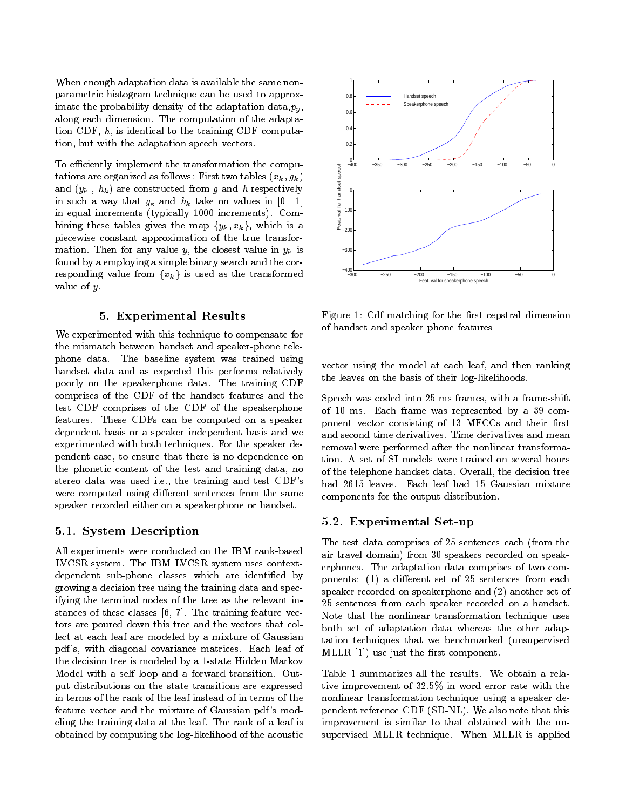When enough adaptation data is available the same nonparametric histogram technique can be used to approximate the probability density of the adaptation data,  $p_y$ , along each dimension. The computation of the adaptation CDF, h, is identical to the training CDF computation, but with the adaptation speech vectors.

To efficiently implement the transformation the computations are organized as follows: First two tables  $(x_k, g_k)$ and  $(y_k, h_k)$  are constructed from g and h respectively in such a way that  $g_k$  and  $h_k$  take on values in [0 1] in equal increments (typically 1000 increments). Combining these tables gives the map  $\{y_k, x_k\}$ , which is a piecewise constant approximation of the true transformation. Then for any value y, the closest value in  $y_k$  is found by a employing a simple binary search and the corresponding value from  ${x_k}$  is used as the transformed value of y.

#### 5. Experimental Results

We experimented with this technique to compensate for the mismatch between handset and speaker-phone telephone data. The baseline system was trained using handset data and as expected this performs relatively poorly on the speakerphone data. The training CDF comprises of the CDF of the handset features and the test CDF comprises of the CDF of the speakerphone features. These CDFs can be computed on a speaker dependent basis or a speaker independent basis and we experimented with both techniques. For the speaker dependent case, to ensure that there is no dependence on the phonetic content of the test and training data, no stereo data was used i.e., the training and test CDF's were computed using different sentences from the same speaker recorded either on a speakerphone or handset.

#### 5.1. System Description

All experiments were conducted on the IBM rank-based LVCSR system. The IBM LVCSR system uses contextdependent sub-phone classes which are identified by growing a decision tree using the training data and specifying the terminal nodes of the tree as the relevant instances of these classes  $[6, 7]$ . The training feature vectors are poured down this tree and the vectors that collect at each leaf are modeled by a mixture of Gaussian pdf 's, with diagonal covariance matrices. Each leaf of the decision tree is modeled by a 1-state Hidden Markov Model with a self loop and a forward transition. Output distributions on the state transitions are expressed in terms of the rank of the leaf instead of in terms of the feature vector and the mixture of Gaussian pdf 's modeling the training data at the leaf. The rank of a leaf is obtained by computing the log-likelihood of the acoustic



Figure 1: Cdf matching for the first cepstral dimension of handset and speaker phone features

vector using the model at each leaf, and then ranking the leaves on the basis of their log-likelihoods.

Speech was coded into 25 ms frames, with a frame-shift of 10 ms. Each frame was represented by a 39 component vector consisting of 13 MFCCs and their first and second time derivatives. Time derivatives and mean removal were performed after the nonlinear transformation. A set of SI models were trained on several hours of the telephone handset data. Overall, the decision tree had 2615 leaves. Each leaf had 15 Gaussian mixture components for the output distribution.

## 5.2. Experimental Set-up

The test data comprises of 25 sentences each (from the air travel domain) from 30 speakers recorded on speakerphones. The adaptation data comprises of two components:  $(1)$  a different set of 25 sentences from each speaker recorded on speakerphone and (2) another set of 25 sentences from each speaker recorded on a handset. Note that the nonlinear transformation technique uses both set of adaptation data whereas the other adaptation techniques that we benchmarked (unsupervised MLLR  $[1]$ ) use just the first component.

Table 1 summarizes all the results. We obtain a relative improvement of 32:5% in word error rate with the nonlinear transformation technique using a speaker dependent reference CDF (SD-NL). We also note that this improvement is similar to that obtained with the unsupervised MLLR technique. When MLLR is applied